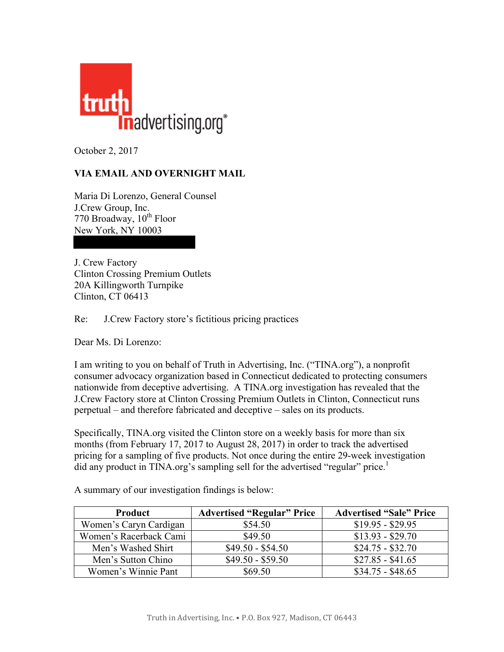

October 2, 2017

## **VIA EMAIL AND OVERNIGHT MAIL**

Maria Di Lorenzo, General Counsel J.Crew Group, Inc. 770 Broadway, 10<sup>th</sup> Floor New York, NY 10003

J. Crew Factory Clinton Crossing Premium Outlets 20A Killingworth Turnpike Clinton, CT 06413

Re: J.Crew Factory store's fictitious pricing practices

Dear Ms. Di Lorenzo:

I am writing to you on behalf of Truth in Advertising, Inc. ("TINA.org"), a nonprofit consumer advocacy organization based in Connecticut dedicated to protecting consumers nationwide from deceptive advertising. A TINA.org investigation has revealed that the J.Crew Factory store at Clinton Crossing Premium Outlets in Clinton, Connecticut runs perpetual – and therefore fabricated and deceptive – sales on its products.

Specifically, TINA.org visited the Clinton store on a weekly basis for more than six months (from February 17, 2017 to August 28, 2017) in order to track the advertised pricing for a sampling of five products. Not once during the entire 29-week investigation did any product in TINA.org's sampling sell for the advertised "regular" price.<sup>1</sup>

| <b>Product</b>         | <b>Advertised "Regular" Price</b> | <b>Advertised "Sale" Price</b> |
|------------------------|-----------------------------------|--------------------------------|
| Women's Caryn Cardigan | \$54.50                           | $$19.95 - $29.95$              |
| Women's Racerback Cami | \$49.50                           | $$13.93 - $29.70$              |
| Men's Washed Shirt     | $$49.50 - $54.50$                 | $$24.75 - $32.70$              |
| Men's Sutton Chino     | $$49.50 - $59.50$                 | $$27.85 - $41.65$              |
| Women's Winnie Pant    | \$69.50                           | $$34.75 - $48.65$              |

A summary of our investigation findings is below: